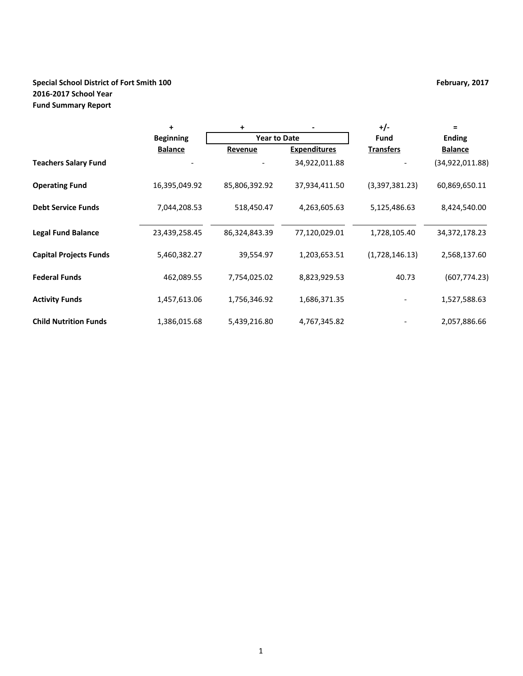# **Special School District of Fort Smith 100 February, 2017 February, 2017 2016-2017 School Year Fund Summary Report**

|                               | +                | +                   |                     | $+/-$            | $=$              |  |
|-------------------------------|------------------|---------------------|---------------------|------------------|------------------|--|
|                               | <b>Beginning</b> | <b>Year to Date</b> |                     | Fund             | <b>Ending</b>    |  |
|                               | <b>Balance</b>   | Revenue             | <b>Expenditures</b> | <b>Transfers</b> | <b>Balance</b>   |  |
| <b>Teachers Salary Fund</b>   |                  |                     | 34,922,011.88       |                  | (34,922,011.88)  |  |
| <b>Operating Fund</b>         | 16,395,049.92    | 85,806,392.92       | 37,934,411.50       | (3,397,381.23)   | 60,869,650.11    |  |
| <b>Debt Service Funds</b>     | 7,044,208.53     | 518,450.47          | 4,263,605.63        | 5,125,486.63     | 8,424,540.00     |  |
| <b>Legal Fund Balance</b>     | 23,439,258.45    | 86,324,843.39       | 77,120,029.01       | 1,728,105.40     | 34, 372, 178. 23 |  |
| <b>Capital Projects Funds</b> | 5,460,382.27     | 39,554.97           | 1,203,653.51        | (1,728,146.13)   | 2,568,137.60     |  |
| <b>Federal Funds</b>          | 462,089.55       | 7,754,025.02        | 8,823,929.53        | 40.73            | (607, 774.23)    |  |
| <b>Activity Funds</b>         | 1,457,613.06     | 1,756,346.92        | 1,686,371.35        |                  | 1,527,588.63     |  |
| <b>Child Nutrition Funds</b>  | 1,386,015.68     | 5,439,216.80        | 4,767,345.82        |                  | 2,057,886.66     |  |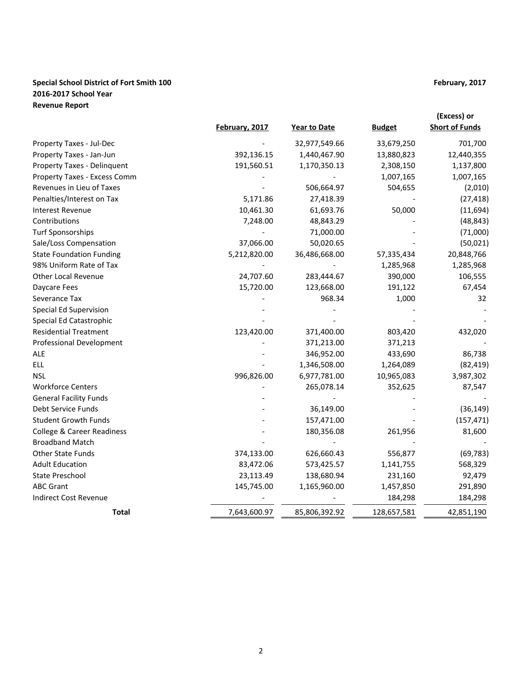# **Special School District of Fort Smith 100 February, 2017 February, 2017 2016-2017 School Year Revenue Report**

|                                 |                |               |               | (Excess) or           |
|---------------------------------|----------------|---------------|---------------|-----------------------|
|                                 | February, 2017 | Year to Date  | <b>Budget</b> | <b>Short of Funds</b> |
| Property Taxes - Jul-Dec        |                | 32,977,549.66 | 33,679,250    | 701,700               |
| Property Taxes - Jan-Jun        | 392,136.15     | 1,440,467.90  | 13,880,823    | 12,440,355            |
| Property Taxes - Delinquent     | 191,560.51     | 1,170,350.13  | 2,308,150     | 1,137,800             |
| Property Taxes - Excess Comm    |                |               | 1,007,165     | 1,007,165             |
| Revenues in Lieu of Taxes       |                | 506,664.97    | 504,655       | (2,010)               |
| Penalties/Interest on Tax       | 5,171.86       | 27,418.39     |               | (27, 418)             |
| <b>Interest Revenue</b>         | 10,461.30      | 61,693.76     | 50,000        | (11,694)              |
| Contributions                   | 7,248.00       | 48,843.29     |               | (48, 843)             |
| <b>Turf Sponsorships</b>        |                | 71,000.00     |               | (71,000)              |
| Sale/Loss Compensation          | 37,066.00      | 50,020.65     |               | (50, 021)             |
| <b>State Foundation Funding</b> | 5,212,820.00   | 36,486,668.00 | 57,335,434    | 20,848,766            |
| 98% Uniform Rate of Tax         |                |               | 1,285,968     | 1,285,968             |
| Other Local Revenue             | 24,707.60      | 283,444.67    | 390,000       | 106,555               |
| Daycare Fees                    | 15,720.00      | 123,668.00    | 191,122       | 67,454                |
| Severance Tax                   |                | 968.34        | 1,000         | 32                    |
| <b>Special Ed Supervision</b>   |                |               |               |                       |
| Special Ed Catastrophic         |                |               |               |                       |
| <b>Residential Treatment</b>    | 123,420.00     | 371,400.00    | 803,420       | 432,020               |
| <b>Professional Development</b> |                | 371,213.00    | 371,213       |                       |
| <b>ALE</b>                      |                | 346,952.00    | 433,690       | 86,738                |
| <b>ELL</b>                      |                | 1,346,508.00  | 1,264,089     | (82, 419)             |
| <b>NSL</b>                      | 996,826.00     | 6,977,781.00  | 10,965,083    | 3,987,302             |
| <b>Workforce Centers</b>        |                | 265,078.14    | 352,625       | 87,547                |
| <b>General Facility Funds</b>   |                |               |               |                       |
| Debt Service Funds              |                | 36,149.00     |               | (36, 149)             |
| <b>Student Growth Funds</b>     |                | 157,471.00    |               | (157, 471)            |
| College & Career Readiness      |                | 180,356.08    | 261,956       | 81,600                |
| <b>Broadband Match</b>          |                |               |               |                       |
| <b>Other State Funds</b>        | 374,133.00     | 626,660.43    | 556,877       | (69, 783)             |
| <b>Adult Education</b>          | 83,472.06      | 573,425.57    | 1,141,755     | 568,329               |
| State Preschool                 | 23,113.49      | 138,680.94    | 231,160       | 92,479                |
| <b>ABC Grant</b>                | 145,745.00     | 1,165,960.00  | 1,457,850     | 291,890               |
| <b>Indirect Cost Revenue</b>    |                |               | 184,298       | 184,298               |
| <b>Total</b>                    | 7,643,600.97   | 85,806,392.92 | 128,657,581   | 42,851,190            |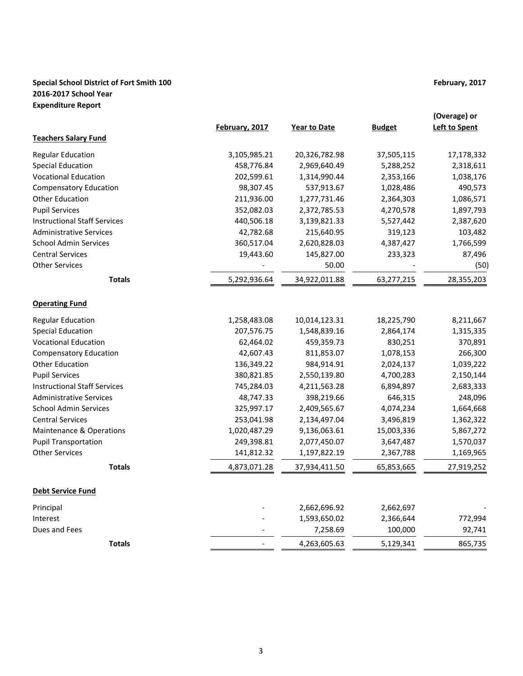# **Special School District of Fort Smith 100 February, 2017 February, 2017 2016-2017 School Year Expenditure Report**

|                                     | February, 2017 | <b>Year to Date</b> | <b>Budget</b> | (Overage) or<br><b>Left to Spent</b> |
|-------------------------------------|----------------|---------------------|---------------|--------------------------------------|
| <b>Teachers Salary Fund</b>         |                |                     |               |                                      |
| <b>Regular Education</b>            | 3,105,985.21   | 20,326,782.98       | 37,505,115    | 17,178,332                           |
| <b>Special Education</b>            | 458,776.84     | 2,969,640.49        | 5,288,252     | 2,318,611                            |
| <b>Vocational Education</b>         | 202,599.61     | 1,314,990.44        | 2,353,166     | 1,038,176                            |
| <b>Compensatory Education</b>       | 98,307.45      | 537,913.67          | 1,028,486     | 490,573                              |
| <b>Other Education</b>              | 211,936.00     | 1,277,731.46        | 2,364,303     | 1,086,571                            |
| <b>Pupil Services</b>               | 352,082.03     | 2,372,785.53        | 4,270,578     | 1,897,793                            |
| <b>Instructional Staff Services</b> | 440,506.18     | 3,139,821.33        | 5,527,442     | 2,387,620                            |
| <b>Administrative Services</b>      | 42,782.68      | 215,640.95          | 319,123       | 103,482                              |
| <b>School Admin Services</b>        | 360,517.04     | 2,620,828.03        | 4,387,427     | 1,766,599                            |
| <b>Central Services</b>             | 19,443.60      | 145,827.00          | 233,323       | 87,496                               |
| <b>Other Services</b>               |                | 50.00               |               | (50)                                 |
| <b>Totals</b>                       | 5,292,936.64   | 34,922,011.88       | 63,277,215    | 28,355,203                           |
| <b>Operating Fund</b>               |                |                     |               |                                      |
| <b>Regular Education</b>            | 1,258,483.08   | 10,014,123.31       | 18,225,790    | 8,211,667                            |
| <b>Special Education</b>            | 207,576.75     | 1,548,839.16        | 2,864,174     | 1,315,335                            |
| <b>Vocational Education</b>         | 62,464.02      | 459,359.73          | 830,251       | 370,891                              |
| <b>Compensatory Education</b>       | 42,607.43      | 811,853.07          | 1,078,153     | 266,300                              |
| <b>Other Education</b>              | 136,349.22     | 984,914.91          | 2,024,137     | 1,039,222                            |
| <b>Pupil Services</b>               | 380,821.85     | 2,550,139.80        | 4,700,283     | 2,150,144                            |
| <b>Instructional Staff Services</b> | 745,284.03     | 4,211,563.28        | 6,894,897     | 2,683,333                            |
| <b>Administrative Services</b>      | 48,747.33      | 398,219.66          | 646,315       | 248,096                              |
| <b>School Admin Services</b>        | 325,997.17     | 2,409,565.67        | 4,074,234     | 1,664,668                            |
| <b>Central Services</b>             | 253,041.98     | 2,134,497.04        | 3,496,819     | 1,362,322                            |
| Maintenance & Operations            | 1,020,487.29   | 9,136,063.61        | 15,003,336    | 5,867,272                            |
| <b>Pupil Transportation</b>         | 249,398.81     | 2,077,450.07        | 3,647,487     | 1,570,037                            |
| <b>Other Services</b>               | 141,812.32     | 1,197,822.19        | 2,367,788     | 1,169,965                            |
| <b>Totals</b>                       | 4,873,071.28   | 37,934,411.50       | 65,853,665    | 27,919,252                           |
| <b>Debt Service Fund</b>            |                |                     |               |                                      |
| Principal                           |                | 2,662,696.92        | 2,662,697     |                                      |
| Interest                            |                | 1,593,650.02        | 2,366,644     | 772,994                              |
| Dues and Fees                       |                | 7,258.69            | 100,000       | 92,741                               |
| <b>Totals</b>                       |                | 4,263,605.63        | 5,129,341     | 865,735                              |
|                                     |                |                     |               |                                      |